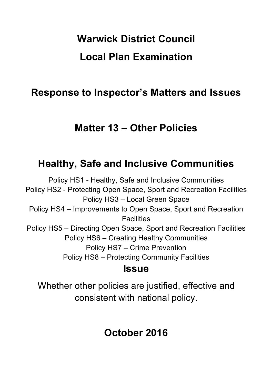# **Warwick District Council Local Plan Examination**

# **Response to Inspector's Matters and Issues**

# **Matter 13 – Other Policies**

# **Healthy, Safe and Inclusive Communities**

Policy HS1 - Healthy, Safe and Inclusive Communities Policy HS2 - Protecting Open Space, Sport and Recreation Facilities Policy HS3 – Local Green Space Policy HS4 – Improvements to Open Space, Sport and Recreation **Facilities** Policy HS5 – Directing Open Space, Sport and Recreation Facilities Policy HS6 – Creating Healthy Communities Policy HS7 – Crime Prevention Policy HS8 – Protecting Community Facilities **Issue**

Whether other policies are justified, effective and consistent with national policy.

# **October 2016**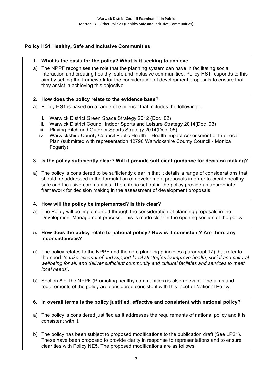# **Policy HS1 Healthy, Safe and Inclusive Communities**

#### **1. What is the basis for the policy? What is it seeking to achieve**

a) The NPPF recognises the role that the planning system can have in facilitating social interaction and creating healthy, safe and inclusive communities. Policy HS1 responds to this aim by setting the framework for the consideration of development proposals to ensure that they assist in achieving this objective.

#### **2. How does the policy relate to the evidence base?**

- a) Policy HS1 is based on a range of evidence that includes the following::
	- i. Warwick District Green Space Strategy 2012 (Doc I02)
	- ii. Warwick District Council Indoor Sports and Leisure Strategy 2014(Doc I03)
	- iii. Playing Pitch and Outdoor Sports Strategy 2014(Doc I05)
	- iv. Warwickshire County Council Public Health Health Impact Assessment of the Local Plan (submitted with representation 12790 Warwickshire County Council - Monica Fogarty)

#### **3. Is the policy sufficiently clear? Will it provide sufficient guidance for decision making?**

a) The policy is considered to be sufficiently clear in that it details a range of considerations that should be addressed in the formulation of development proposals in order to create healthy safe and Inclusive communities. The criteria set out in the policy provide an appropriate framework for decision making in the assessment of development proposals.

#### **4. How will the policy be implemented? Is this clear?**

a) The Policy will be implemented through the consideration of planning proposals in the Development Management process. This is made clear in the opening section of the policy.

#### **5. How does the policy relate to national policy? How is it consistent? Are there any inconsistencies?**

- a) The policy relates to the NPPF and the core planning principles (paragraph17) that refer to the need '*to take account of and support local strategies to improve health, social and cultural wellbeing for all, and deliver sufficient community and cultural facilities and services to meet local needs*'.
- b) Section 8 of the NPPF (Promoting healthy communities) is also relevant. The aims and requirements of the policy are considered consistent with this facet of National Policy.

#### **6. In overall terms is the policy justified, effective and consistent with national policy?**

- a) The policy is considered justified as it addresses the requirements of national policy and it is consistent with it.
- b) The policy has been subject to proposed modifications to the publication draft (See LP21). These have been proposed to provide clarity in response to representations and to ensure clear ties with Policy NE5. The proposed modifications are as follows: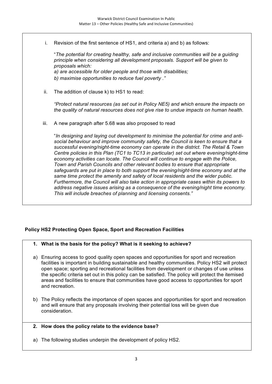i. Revision of the first sentence of HS1, and criteria a) and b) as follows:

"*The potential for creating healthy, safe and inclusive communities will be a guiding principle when considering all development proposals. Support will be given to proposals which:* 

*a) are accessible for older people and those with disabilities; b) maximise opportunities to reduce fuel poverty ."*

ii. The addition of clause k) to HS1 to read:

*"Protect natural resources (as set out in Policy NE5) and which ensure the impacts on the quality of natural resources does not give rise to undue impacts on human health.*

iii. A new paragraph after 5.68 was also proposed to read

"*In designing and laying out development to minimise the potential for crime and antisocial behaviour and improve community safety, the Council is keen to ensure that a successful evening/night-time economy can operate in the district. The Retail & Town Centre policies in this Plan (TC1 to TC13 in particular) set out where evening/night-time economy activities can locate. The Council will continue to engage with the Police, Town and Parish Councils and other relevant bodies to ensure that appropriate safeguards are put in place to both support the evening/night-time economy and at the same time protect the amenity and safety of local residents and the wider public. Furthermore, the Council will also take action in appropriate cases within its powers to address negative issues arising as a consequence of the evening/night time economy. This will include breaches of planning and licensing consents."*

# **Policy HS2 Protecting Open Space, Sport and Recreation Facilities**

- **1. What is the basis for the policy? What is it seeking to achieve?**
- a) Ensuring access to good quality open spaces and opportunities for sport and recreation facilities is important in building sustainable and healthy communities. Policy HS2 will protect open space; sporting and recreational facilities from development or changes of use unless the specific criteria set out in this policy can be satisfied. The policy will protect the itemised areas and facilities to ensure that communities have good access to opportunities for sport and recreation.
- b) The Policy reflects the importance of open spaces and opportunities for sport and recreation and will ensure that any proposals involving their potential loss will be given due consideration.

#### **2. How does the policy relate to the evidence base?**

a) The following studies underpin the development of policy HS2.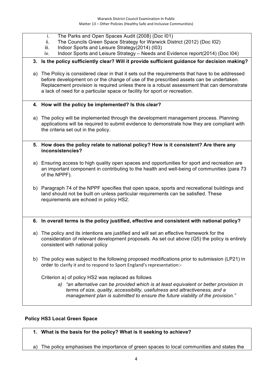- i. The Parks and Open Spaces Audit (2008) (Doc I01)
- ii. The Councils Green Space Strategy for Warwick District (2012) (Doc I02)
- iii. Indoor Sports and Leisure Strategy(2014) (I03)
- iv. Indoor Sports and Leisure Strategy Needs and Evidence report(2014) (Doc I04)

#### **3. Is the policy sufficiently clear? Will it provide sufficient guidance for decision making?**

- a) The Policy is considered clear in that it sets out the requirements that have to be addressed before development on or the change of use of the prescribed assets can be undertaken. Replacement provision is required unless there is a robust assessment that can demonstrate a lack of need for a particular space or facility for sport or recreation.
- **4. How will the policy be implemented? Is this clear?**
- a) The policy will be implemented through the development management process. Planning applications will be required to submit evidence to demonstrate how they are compliant with the criteria set out in the policy.
- **5. How does the policy relate to national policy? How is it consistent? Are there any inconsistencies?**
- a) Ensuring access to high quality open spaces and opportunities for sport and recreation are an important component in contributing to the health and well-being of communities (para 73 of the NPPF).
- b) Paragraph 74 of the NPPF specifies that open space, sports and recreational buildings and land should not be built on unless particular requirements can be satisfied. These requirements are echoed in policy HS2.
- **6. In overall terms is the policy justified, effective and consistent with national policy?**
- a) The policy and its intentions are justified and will set an effective framework for the consideration of relevant development proposals. As set out above (Q5) the policy is entirely consistent with national policy
- b) The policy was subject to the following proposed modifications prior to submission (LP21) in order to clarify it and to respond to Sport England's representation:-

Criterion a) of policy HS2 was replaced as follows

*a) "an alternative can be provided which is at least equivalent or better provision in terms of size, quality, accessibility, usefulness and attractiveness, and a management plan is submitted to ensure the future viability of the provision."*

#### **Policy HS3 Local Green Space**

#### **1. What is the basis for the policy? What is it seeking to achieve?**

a) The policy emphasises the importance of green spaces to local communities and states the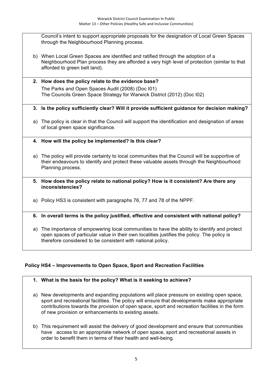Council's intent to support appropriate proposals for the designation of Local Green Spaces through the Neighbourhood Planning process.

- b) When Local Green Spaces are identified and ratified through the adoption of a Neighbourhood Plan process they are afforded a very high level of protection (similar to that afforded to green belt land).
- **2. How does the policy relate to the evidence base?** The Parks and Open Spaces Audit (2008) (Doc I01) The Councils Green Space Strategy for Warwick District (2012) (Doc I02)
- **3. Is the policy sufficiently clear? Will it provide sufficient guidance for decision making?**
- a) The policy is clear in that the Council will support the identification and designation of areas of local green space significance.
- **4. How will the policy be implemented? Is this clear?**
- a) The policy will provide certainty to local communities that the Council will be supportive of their endeavours to identify and protect these valuable assets through the Neighbourhood Planning process.
- **5. How does the policy relate to national policy? How is it consistent? Are there any inconsistencies?**
- a) Policy HS3 is consistent with paragraphs 76, 77 and 78 of the NPPF.

# **6. In overall terms is the policy justified, effective and consistent with national policy?**

a) The importance of empowering local communities to have the ability to identify and protect open spaces of particular value in their own localities justifies the policy. The policy is therefore considered to be consistent with national policy.

# **Policy HS4 – Improvements to Open Space, Sport and Recreation Facilities**

# **1. What is the basis for the policy? What is it seeking to achieve?**

- a) New developments and expanding populations will place pressure on existing open space, sport and recreational facilities. The policy will ensure that developments make appropriate contributions towards the provision of open space, sport and recreation facilities in the form of new provision or enhancements to existing assets.
- b) This requirement will assist the delivery of good development and ensure that communities have access to an appropriate network of open space, sport and recreational assets in order to benefit them in terms of their health and well-being.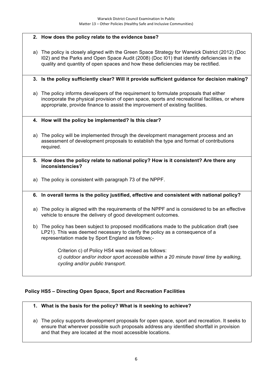#### **2. How does the policy relate to the evidence base?**

a) The policy is closely aligned with the Green Space Strategy for Warwick District (2012) (Doc I02) and the Parks and Open Space Audit (2008) (Doc I01) that identify deficiencies in the quality and quantity of open spaces and how these deficiencies may be rectified.

#### **3. Is the policy sufficiently clear? Will it provide sufficient guidance for decision making?**

a) The policy informs developers of the requirement to formulate proposals that either incorporate the physical provision of open space, sports and recreational facilities, or where appropriate, provide finance to assist the improvement of existing facilities.

#### **4. How will the policy be implemented? Is this clear?**

- a) The policy will be implemented through the development management process and an assessment of development proposals to establish the type and format of contributions required.
- **5. How does the policy relate to national policy? How is it consistent? Are there any inconsistencies?**
- a) The policy is consistent with paragraph 73 of the NPPF.

#### **6. In overall terms is the policy justified, effective and consistent with national policy?**

- a) The policy is aligned with the requirements of the NPPF and is considered to be an effective vehicle to ensure the delivery of good development outcomes.
- b) The policy has been subject to proposed modifications made to the publication draft (see LP21). This was deemed necessary to clarify the policy as a consequence of a representation made by Sport England as follows;-

Criterion c) of Policy HS4 was revised as follows: *c) outdoor and/or indoor sport accessible within a 20 minute travel time by walking, cycling and/or public transport.* 

#### **Policy HS5 – Directing Open Space, Sport and Recreation Facilities**

#### **1. What is the basis for the policy? What is it seeking to achieve?**

a) The policy supports development proposals for open space, sport and recreation. It seeks to ensure that wherever possible such proposals address any identified shortfall in provision and that they are located at the most accessible locations.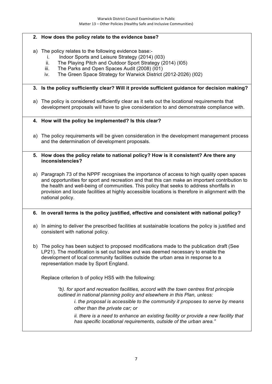#### **2. How does the policy relate to the evidence base?**

- a) The policy relates to the following evidence base:
	- i. Indoor Sports and Leisure Strategy (2014) (I03)
	- ii. The Playing Pitch and Outdoor Sport Strategy (2014) (I05)
	- iii. The Parks and Open Spaces Audit (2008) (I01)
	- iv. The Green Space Strategy for Warwick District (2012-2026) (I02)

#### **3. Is the policy sufficiently clear? Will it provide sufficient guidance for decision making?**

a) The policy is considered sufficiently clear as it sets out the locational requirements that development proposals will have to give consideration to and demonstrate compliance with.

#### **4. How will the policy be implemented? Is this clear?**

a) The policy requirements will be given consideration in the development management process and the determination of development proposals.

#### **5. How does the policy relate to national policy? How is it consistent? Are there any inconsistencies?**

a) Paragraph 73 of the NPPF recognises the importance of access to high quality open spaces and opportunities for sport and recreation and that this can make an important contribution to the health and well-being of communities. This policy that seeks to address shortfalls in provision and locate facilities at highly accessible locations is therefore in alignment with the national policy.

#### **6. In overall terms is the policy justified, effective and consistent with national policy?**

- a) In aiming to deliver the prescribed facilities at sustainable locations the policy is justified and consistent with national policy.
- b) The policy has been subject to proposed modifications made to the publication draft (See LP21). The modification is set out below and was deemed necessary to enable the development of local community facilities outside the urban area in response to a representation made by Sport England.

Replace criterion b of policy HS5 with the following:

*"b). for sport and recreation facilities, accord with the town centres first principle outlined in national planning policy and elsewhere in this Plan, unless:* 

*i. the proposal is accessible to the community it proposes to serve by means other than the private car; or* 

*ii. there is a need to enhance an existing facility or provide a new facility that has specific locational requirements, outside of the urban area."*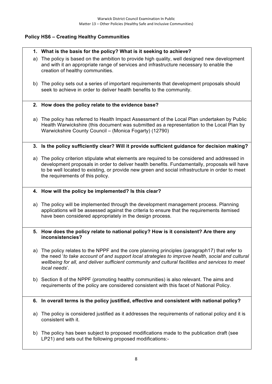# **Policy HS6 – Creating Healthy Communities**

# **1. What is the basis for the policy? What is it seeking to achieve?**

- a) The policy is based on the ambition to provide high quality, well designed new development and with it an appropriate range of services and infrastructure necessary to enable the creation of healthy communities.
- b) The policy sets out a series of important requirements that development proposals should seek to achieve in order to deliver health benefits to the community.

#### **2. How does the policy relate to the evidence base?**

a) The policy has referred to Health Impact Assessment of the Local Plan undertaken by Public Health Warwickshire (this document was submitted as a representation to the Local Plan by Warwickshire County Council – (Monica Fogarty) (12790)

#### **3. Is the policy sufficiently clear? Will it provide sufficient guidance for decision making?**

a) The policy criterion stipulate what elements are required to be considered and addressed in development proposals in order to deliver health benefits. Fundamentally, proposals will have to be well located to existing, or provide new green and social infrastructure in order to meet the requirements of this policy.

#### **4. How will the policy be implemented? Is this clear?**

a) The policy will be implemented through the development management process. Planning applications will be assessed against the criteria to ensure that the requirements itemised have been considered appropriately in the design process.

#### **5. How does the policy relate to national policy? How is it consistent? Are there any inconsistencies?**

- a) The policy relates to the NPPF and the core planning principles (paragraph17) that refer to the need '*to take account of and support local strategies to improve health, social and cultural wellbeing for all, and deliver sufficient community and cultural facilities and services to meet local needs*'.
- b) Section 8 of the NPPF (promoting healthy communities) is also relevant. The aims and requirements of the policy are considered consistent with this facet of National Policy.

#### **6. In overall terms is the policy justified, effective and consistent with national policy?**

- a) The policy is considered justified as it addresses the requirements of national policy and it is consistent with it.
- b) The policy has been subject to proposed modifications made to the publication draft (see LP21) and sets out the following proposed modifications:-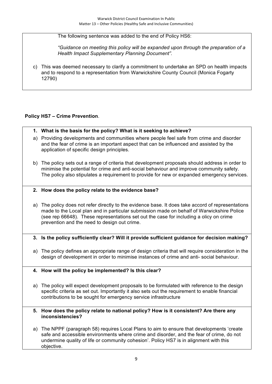The following sentence was added to the end of Policy HS6:

*"Guidance on meeting this policy will be expanded upon through the preparation of a Health Impact Supplementary Planning Document".*

c) This was deemed necessary to clarify a commitment to undertake an SPD on health impacts and to respond to a representation from Warwickshire County Council (Monica Fogarty 12790)

# **Policy HS7 – Crime Prevention**.

- **1. What is the basis for the policy? What is it seeking to achieve?**
- a) Providing developments and communities where people feel safe from crime and disorder and the fear of crime is an important aspect that can be influenced and assisted by the application of specific design principles.
- b) The policy sets out a range of criteria that development proposals should address in order to minimise the potential for crime and anti-social behaviour and improve community safety. The policy also stipulates a requirement to provide for new or expanded emergency services.

#### **2. How does the policy relate to the evidence base?**

a) The policy does not refer directly to the evidence base. It does take accord of representations made to the Local plan and in particular submission made on behalf of Warwickshire Police (see rep 66648). These representations set out the case for including a olicy on crime prevention and the need to design out crime.

#### **3. Is the policy sufficiently clear? Will it provide sufficient guidance for decision making?**

a) The policy defines an appropriate range of design criteria that will require consideration in the design of development in order to minimise instances of crime and anti- social behaviour.

#### **4. How will the policy be implemented? Is this clear?**

- a) The policy will expect development proposals to be formulated with reference to the design specific criteria as set out. Importantly it also sets out the requirement to enable financial contributions to be sought for emergency service infrastructure
- **5. How does the policy relate to national policy? How is it consistent? Are there any inconsistencies?**
- a) The NPPF (paragraph 58) requires Local Plans to aim to ensure that developments 'create safe and accessible environments where crime and disorder, and the fear of crime, do not undermine quality of life or community cohesion'. Policy HS7 is in alignment with this objective.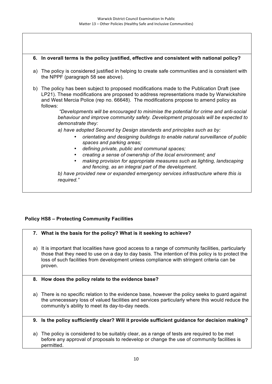#### **6. In overall terms is the policy justified, effective and consistent with national policy?**

- a) The policy is considered justified in helping to create safe communities and is consistent with the NPPF (paragraph 58 see above).
- b) The policy has been subject to proposed modifications made to the Publication Draft (see LP21). These modifications are proposed to address representations made by Warwickshire and West Mercia Police (rep no. 66648). The modifications propose to amend policy as follows:

*"Developments will be encouraged to minimise the potential for crime and anti-social behaviour and improve community safety. Development proposals will be expected to demonstrate they:*

*a) have adopted Secured by Design standards and principles such as by:*

- *orientating and designing buildings to enable natural surveillance of public spaces and parking areas;*
- *defining private, public and communal spaces;*
- *creating a sense of ownership of the local environment; and*
- *making provision for appropriate measures such as lighting, landscaping and fencing, as an integral part of the development.*

*b) have provided new or expanded emergency services infrastructure where this is required."*

# **Policy HS8 – Protecting Community Facilities**

# **7. What is the basis for the policy? What is it seeking to achieve?**

- a) It is important that localities have good access to a range of community facilities, particularly those that they need to use on a day to day basis. The intention of this policy is to protect the loss of such facilities from development unless compliance with stringent criteria can be proven.
- **8. How does the policy relate to the evidence base?**
- a) There is no specific relation to the evidence base, however the policy seeks to guard against the unnecessary loss of valued facilities and services particularly where this would reduce the community's ability to meet its day-to-day needs.
- **9. Is the policy sufficiently clear? Will it provide sufficient guidance for decision making?**
- a) The policy is considered to be suitably clear, as a range of tests are required to be met before any approval of proposals to redevelop or change the use of community facilities is permitted.